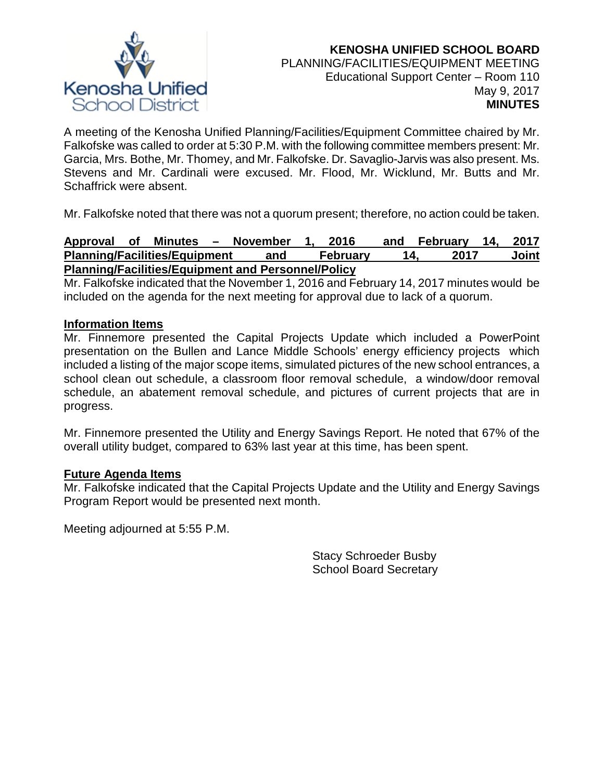

A meeting of the Kenosha Unified Planning/Facilities/Equipment Committee chaired by Mr. Falkofske was called to order at 5:30 P.M. with the following committee members present: Mr. Garcia, Mrs. Bothe, Mr. Thomey, and Mr. Falkofske. Dr. Savaglio-Jarvis was also present. Ms. Stevens and Mr. Cardinali were excused. Mr. Flood, Mr. Wicklund, Mr. Butts and Mr. Schaffrick were absent.

Mr. Falkofske noted that there was not a quorum present; therefore, no action could be taken.

#### **Approval of Minutes – November 1, 2016 and February 14, 2017 Planning/Facilities/Equipment and February 14, 2017 Joint Planning/Facilities/Equipment and Personnel/Policy**

Mr. Falkofske indicated that the November 1, 2016 and February 14, 2017 minutes would be included on the agenda for the next meeting for approval due to lack of a quorum.

# **Information Items**

Mr. Finnemore presented the Capital Projects Update which included a PowerPoint presentation on the Bullen and Lance Middle Schools' energy efficiency projects which included a listing of the major scope items, simulated pictures of the new school entrances, a school clean out schedule, a classroom floor removal schedule, a window/door removal schedule, an abatement removal schedule, and pictures of current projects that are in progress.

Mr. Finnemore presented the Utility and Energy Savings Report. He noted that 67% of the overall utility budget, compared to 63% last year at this time, has been spent.

## **Future Agenda Items**

Mr. Falkofske indicated that the Capital Projects Update and the Utility and Energy Savings Program Report would be presented next month.

Meeting adjourned at 5:55 P.M.

Stacy Schroeder Busby School Board Secretary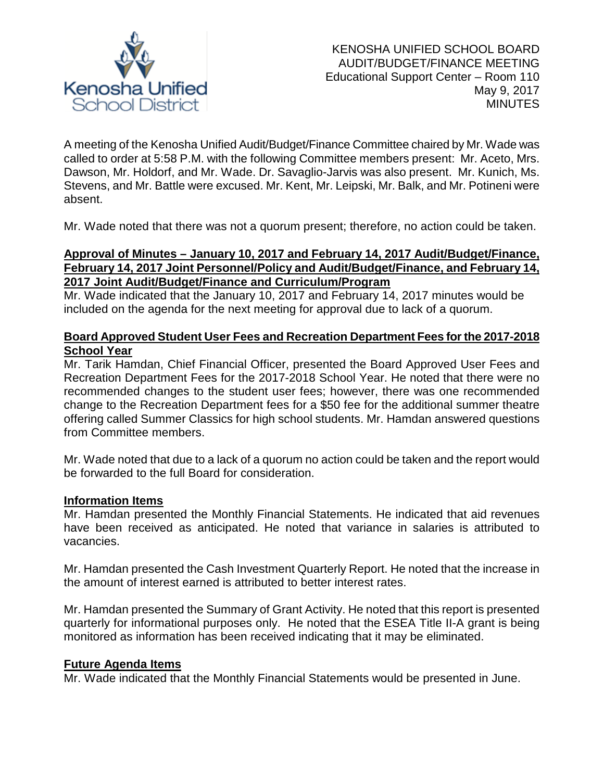

A meeting of the Kenosha Unified Audit/Budget/Finance Committee chaired by Mr. Wade was called to order at 5:58 P.M. with the following Committee members present: Mr. Aceto, Mrs. Dawson, Mr. Holdorf, and Mr. Wade. Dr. Savaglio-Jarvis was also present. Mr. Kunich, Ms. Stevens, and Mr. Battle were excused. Mr. Kent, Mr. Leipski, Mr. Balk, and Mr. Potineni were absent.

Mr. Wade noted that there was not a quorum present; therefore, no action could be taken.

# **Approval of Minutes – January 10, 2017 and February 14, 2017 Audit/Budget/Finance, February 14, 2017 Joint Personnel/Policy and Audit/Budget/Finance, and February 14, 2017 Joint Audit/Budget/Finance and Curriculum/Program**

Mr. Wade indicated that the January 10, 2017 and February 14, 2017 minutes would be included on the agenda for the next meeting for approval due to lack of a quorum.

# **Board Approved Student User Fees and Recreation Department Fees for the 2017-2018 School Year**

Mr. Tarik Hamdan, Chief Financial Officer, presented the Board Approved User Fees and Recreation Department Fees for the 2017-2018 School Year. He noted that there were no recommended changes to the student user fees; however, there was one recommended change to the Recreation Department fees for a \$50 fee for the additional summer theatre offering called Summer Classics for high school students. Mr. Hamdan answered questions from Committee members.

Mr. Wade noted that due to a lack of a quorum no action could be taken and the report would be forwarded to the full Board for consideration.

# **Information Items**

Mr. Hamdan presented the Monthly Financial Statements. He indicated that aid revenues have been received as anticipated. He noted that variance in salaries is attributed to vacancies.

Mr. Hamdan presented the Cash Investment Quarterly Report. He noted that the increase in the amount of interest earned is attributed to better interest rates.

Mr. Hamdan presented the Summary of Grant Activity. He noted that this report is presented quarterly for informational purposes only. He noted that the ESEA Title II-A grant is being monitored as information has been received indicating that it may be eliminated.

## **Future Agenda Items**

Mr. Wade indicated that the Monthly Financial Statements would be presented in June.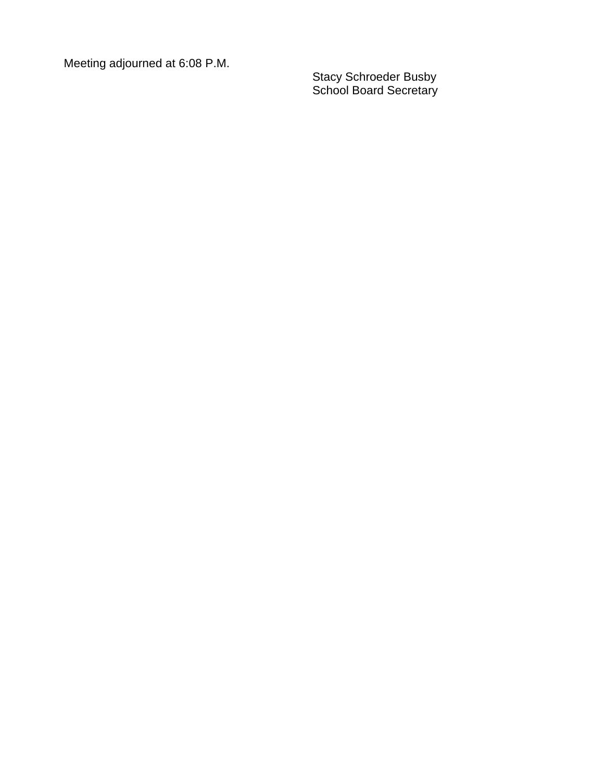Meeting adjourned at 6 :08 P.M.

Stacy Schroeder Busby School Board Secretary